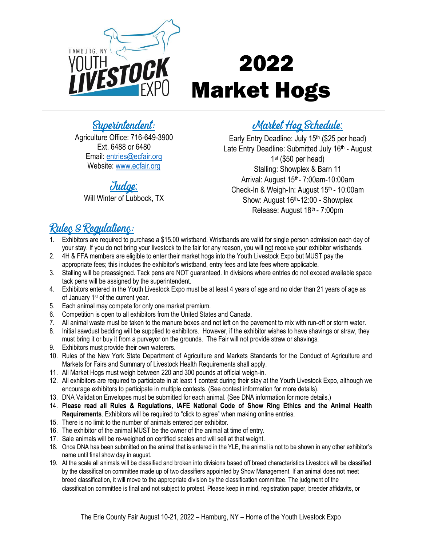

# 2022 Market Hogs

# Superintendent:

Agriculture Office: 716-649-3900 Ext. 6488 or 6480 Email: [entries@ecfair.org](mailto:entries@ecfair.org) Website: [www.ecfair.org](http://www.ecfair.org/)

# Judge:

Will Winter of Lubbock, TX

# Market Hog Schedule:

Early Entry Deadline: July 15<sup>th</sup> (\$25 per head) Late Entry Deadline: Submitted July 16<sup>th</sup> - August 1 st (\$50 per head) Stalling: Showplex & Barn 11 Arrival: August 15th- 7:00am-10:00am Check-In & Weigh-In: August 15<sup>th</sup> - 10:00am Show: August 16<sup>th</sup>-12:00 - Showplex Release: August 18th - 7:00pm

# Rulec & Regulationc:

- 1. Exhibitors are required to purchase a \$15.00 wristband. Wristbands are valid for single person admission each day of your stay. If you do not bring your livestock to the fair for any reason, you will not receive your exhibitor wristbands.
- 2. 4H & FFA members are eligible to enter their market hogs into the Youth Livestock Expo but MUST pay the appropriate fees; this includes the exhibitor's wristband, entry fees and late fees where applicable.
- 3. Stalling will be preassigned. Tack pens are NOT guaranteed. In divisions where entries do not exceed available space tack pens will be assigned by the superintendent.
- 4. Exhibitors entered in the Youth Livestock Expo must be at least 4 years of age and no older than 21 years of age as of January 1<sup>st</sup> of the current year.
- 5. Each animal may compete for only one market premium.
- 6. Competition is open to all exhibitors from the United States and Canada.
- 7. All animal waste must be taken to the manure boxes and not left on the pavement to mix with run-off or storm water.
- 8. Initial sawdust bedding will be supplied to exhibitors. However, if the exhibitor wishes to have shavings or straw, they must bring it or buy it from a purveyor on the grounds. The Fair will not provide straw or shavings.
- 9. Exhibitors must provide their own waterers.
- 10. Rules of the New York State Department of Agriculture and Markets Standards for the Conduct of Agriculture and Markets for Fairs and Summary of Livestock Health Requirements shall apply.
- 11. All Market Hogs must weigh between 220 and 300 pounds at official weigh-in.
- 12. All exhibitors are required to participate in at least 1 contest during their stay at the Youth Livestock Expo, although we encourage exhibitors to participate in multiple contests. (See contest information for more details).
- 13. DNA Validation Envelopes must be submitted for each animal. (See DNA information for more details.)
- 14. **Please read all Rules & Regulations, IAFE National Code of Show Ring Ethics and the Animal Health Requirements**. Exhibitors will be required to "click to agree" when making online entries.
- 15. There is no limit to the number of animals entered per exhibitor.
- 16. The exhibitor of the animal MUST be the owner of the animal at time of entry.
- 17. Sale animals will be re-weighed on certified scales and will sell at that weight.
- 18. Once DNA has been submitted on the animal that is entered in the YLE, the animal is not to be shown in any other exhibitor's name until final show day in august.
- 19. At the scale all animals will be classified and broken into divisions based off breed characteristics Livestock will be classified by the classification committee made up of two classifiers appointed by Show Management. If an animal does not meet breed classification, it will move to the appropriate division by the classification committee. The judgment of the classification committee is final and not subject to protest. Please keep in mind, registration paper, breeder affidavits, or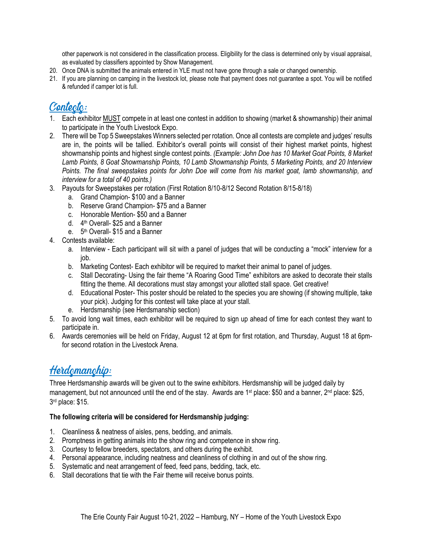other paperwork is not considered in the classification process. Eligibility for the class is determined only by visual appraisal, as evaluated by classifiers appointed by Show Management.

- 20. Once DNA is submitted the animals entered in YLE must not have gone through a sale or changed ownership.
- 21. If you are planning on camping in the livestock lot, please note that payment does not guarantee a spot. You will be notified & refunded if camper lot is full.

# Contecto:

- 1. Each exhibitor MUST compete in at least one contest in addition to showing (market & showmanship) their animal to participate in the Youth Livestock Expo.
- 2. There will be Top 5 Sweepstakes Winners selected per rotation. Once all contests are complete and judges' results are in, the points will be tallied. Exhibitor's overall points will consist of their highest market points, highest showmanship points and highest single contest points. *(Example: John Doe has 10 Market Goat Points, 8 Market Lamb Points, 8 Goat Showmanship Points, 10 Lamb Showmanship Points, 5 Marketing Points, and 20 Interview Points. The final sweepstakes points for John Doe will come from his market goat, lamb showmanship, and interview for a total of 40 points.)*
- 3. Payouts for Sweepstakes per rotation (First Rotation 8/10-8/12 Second Rotation 8/15-8/18)
	- a. Grand Champion- \$100 and a Banner
	- b. Reserve Grand Champion- \$75 and a Banner
	- c. Honorable Mention- \$50 and a Banner
	- d. 4<sup>th</sup> Overall- \$25 and a Banner
	- e. 5<sup>th</sup> Overall- \$15 and a Banner
- 4. Contests available:
	- a. Interview Each participant will sit with a panel of judges that will be conducting a "mock" interview for a job.
	- b. Marketing Contest- Each exhibitor will be required to market their animal to panel of judges.
	- c. Stall Decorating- Using the fair theme "A Roaring Good Time" exhibitors are asked to decorate their stalls fitting the theme. All decorations must stay amongst your allotted stall space. Get creative!
	- d. Educational Poster- This poster should be related to the species you are showing (if showing multiple, take your pick). Judging for this contest will take place at your stall.
	- e. Herdsmanship (see Herdsmanship section)
- 5. To avoid long wait times, each exhibitor will be required to sign up ahead of time for each contest they want to participate in.
- 6. Awards ceremonies will be held on Friday, August 12 at 6pm for first rotation, and Thursday, August 18 at 6pmfor second rotation in the Livestock Arena.

# Herdemanchip:

Three Herdsmanship awards will be given out to the swine exhibitors. Herdsmanship will be judged daily by management, but not announced until the end of the stay. Awards are 1<sup>st</sup> place: \$50 and a banner, 2<sup>nd</sup> place: \$25, 3 rd place: \$15.

#### **The following criteria will be considered for Herdsmanship judging:**

- 1. Cleanliness & neatness of aisles, pens, bedding, and animals.
- 2. Promptness in getting animals into the show ring and competence in show ring.
- 3. Courtesy to fellow breeders, spectators, and others during the exhibit.
- 4. Personal appearance, including neatness and cleanliness of clothing in and out of the show ring.
- 5. Systematic and neat arrangement of feed, feed pans, bedding, tack, etc.
- 6. Stall decorations that tie with the Fair theme will receive bonus points.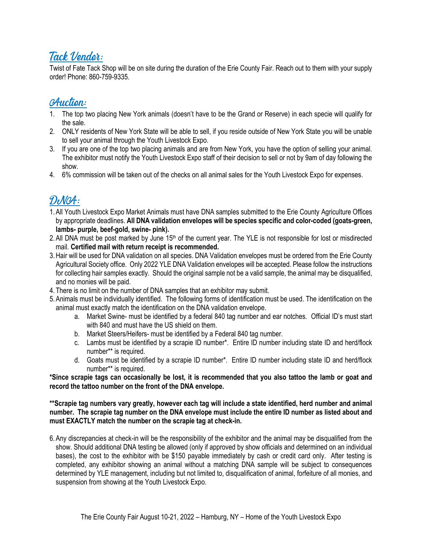### Tack Vendor:

Twist of Fate Tack Shop will be on site during the duration of the Erie County Fair. Reach out to them with your supply order! Phone: 860-759-9335.

### **Auction:**

- 1. The top two placing New York animals (doesn't have to be the Grand or Reserve) in each specie will qualify for the sale.
- 2. ONLY residents of New York State will be able to sell, if you reside outside of New York State you will be unable to sell your animal through the Youth Livestock Expo.
- 3. If you are one of the top two placing animals and are from New York, you have the option of selling your animal. The exhibitor must notify the Youth Livestock Expo staff of their decision to sell or not by 9am of day following the show.
- 4. 6% commission will be taken out of the checks on all animal sales for the Youth Livestock Expo for expenses.

# DNCA:

- 1.All Youth Livestock Expo Market Animals must have DNA samples submitted to the Erie County Agriculture Offices by appropriate deadlines. **All DNA validation envelopes will be species specific and color-coded (goats-green, lambs- purple, beef-gold, swine- pink).**
- 2. All DNA must be post marked by June 15<sup>th</sup> of the current year. The YLE is not responsible for lost or misdirected mail. **Certified mail with return receipt is recommended.**
- 3.Hair will be used for DNA validation on all species. DNA Validation envelopes must be ordered from the Erie County Agricultural Society office. Only 2022 YLE DNA Validation envelopes will be accepted. Please follow the instructions for collecting hair samples exactly. Should the original sample not be a valid sample, the animal may be disqualified, and no monies will be paid.
- 4. There is no limit on the number of DNA samples that an exhibitor may submit.
- 5.Animals must be individually identified. The following forms of identification must be used. The identification on the animal must exactly match the identification on the DNA validation envelope.
	- a. Market Swine- must be identified by a federal 840 tag number and ear notches. Official ID's must start with 840 and must have the US shield on them.
	- b. Market Steers/Heifers- must be identified by a Federal 840 tag number.
	- c. Lambs must be identified by a scrapie ID number\*. Entire ID number including state ID and herd/flock number\*\* is required.
	- d. Goats must be identified by a scrapie ID number\*. Entire ID number including state ID and herd/flock number\*\* is required.

**\*Since scrapie tags can occasionally be lost, it is recommended that you also tattoo the lamb or goat and record the tattoo number on the front of the DNA envelope.**

**\*\*Scrapie tag numbers vary greatly, however each tag will include a state identified, herd number and animal number. The scrapie tag number on the DNA envelope must include the entire ID number as listed about and must EXACTLY match the number on the scrapie tag at check-in.** 

6.Any discrepancies at check-in will be the responsibility of the exhibitor and the animal may be disqualified from the show. Should additional DNA testing be allowed (only if approved by show officials and determined on an individual bases), the cost to the exhibitor with be \$150 payable immediately by cash or credit card only. After testing is completed, any exhibitor showing an animal without a matching DNA sample will be subject to consequences determined by YLE management, including but not limited to, disqualification of animal, forfeiture of all monies, and suspension from showing at the Youth Livestock Expo.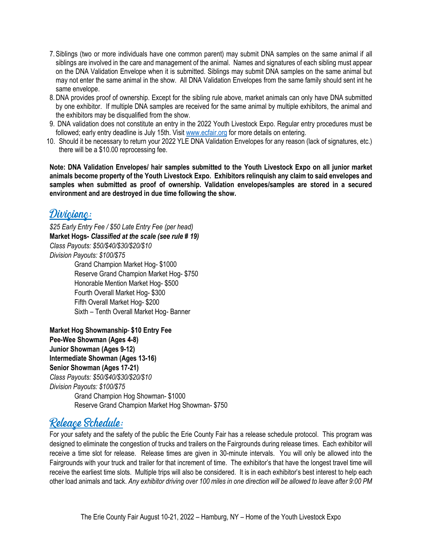- 7.Siblings (two or more individuals have one common parent) may submit DNA samples on the same animal if all siblings are involved in the care and management of the animal. Names and signatures of each sibling must appear on the DNA Validation Envelope when it is submitted. Siblings may submit DNA samples on the same animal but may not enter the same animal in the show. All DNA Validation Envelopes from the same family should sent int he same envelope.
- 8.DNA provides proof of ownership. Except for the sibling rule above, market animals can only have DNA submitted by one exhibitor. If multiple DNA samples are received for the same animal by multiple exhibitors, the animal and the exhibitors may be disqualified from the show.
- 9. DNA validation does not constitute an entry in the 2022 Youth Livestock Expo. Regular entry procedures must be followed; early entry deadline is July 15th. Visit [www.ecfair.org](http://www.ecfair.org/) for more details on entering.
- 10. Should it be necessary to return your 2022 YLE DNA Validation Envelopes for any reason (lack of signatures, etc.) there will be a \$10.00 reprocessing fee.

**Note: DNA Validation Envelopes/ hair samples submitted to the Youth Livestock Expo on all junior market animals become property of the Youth Livestock Expo. Exhibitors relinquish any claim to said envelopes and samples when submitted as proof of ownership. Validation envelopes/samples are stored in a secured environment and are destroyed in due time following the show.** 

### Divicionc:

*\$25 Early Entry Fee / \$50 Late Entry Fee (per head)* **Market Hogs-** *Classified at the scale (see rule # 19) Class Payouts: \$50/\$40/\$30/\$20/\$10 Division Payouts: \$100/\$75* Grand Champion Market Hog- \$1000 Reserve Grand Champion Market Hog- \$750 Honorable Mention Market Hog- \$500 Fourth Overall Market Hog- \$300 Fifth Overall Market Hog- \$200 Sixth – Tenth Overall Market Hog- Banner

**Market Hog Showmanship**- **\$10 Entry Fee Pee-Wee Showman (Ages 4-8) Junior Showman (Ages 9-12) Intermediate Showman (Ages 13-16) Senior Showman (Ages 17-21)**  *Class Payouts: \$50/\$40/\$30/\$20/\$10 Division Payouts: \$100/\$75* Grand Champion Hog Showman- \$1000 Reserve Grand Champion Market Hog Showman- \$750

# Releace Schedule:

For your safety and the safety of the public the Erie County Fair has a release schedule protocol. This program was designed to eliminate the congestion of trucks and trailers on the Fairgrounds during release times. Each exhibitor will receive a time slot for release. Release times are given in 30-minute intervals. You will only be allowed into the Fairgrounds with your truck and trailer for that increment of time. The exhibitor's that have the longest travel time will receive the earliest time slots. Multiple trips will also be considered. It is in each exhibitor's best interest to help each other load animals and tack. *Any exhibitor driving over 100 miles in one direction will be allowed to leave after 9:00 PM*